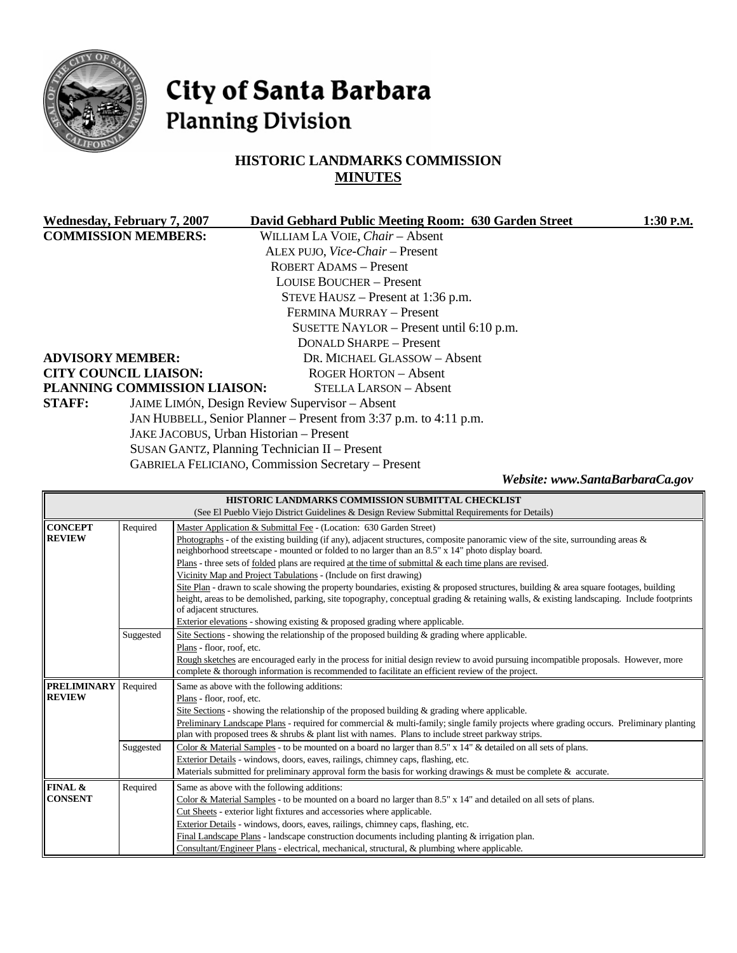

# City of Santa Barbara **Planning Division**

# **HISTORIC LANDMARKS COMMISSION MINUTES**

| <b>Wednesday, February 7, 2007</b> | David Gebhard Public Meeting Room: 630 Garden Street              | 1:30 P.M. |
|------------------------------------|-------------------------------------------------------------------|-----------|
| <b>COMMISSION MEMBERS:</b>         | WILLIAM LA VOIE, Chair - Absent                                   |           |
|                                    | ALEX PUJO, Vice-Chair - Present                                   |           |
|                                    | ROBERT ADAMS - Present                                            |           |
|                                    | <b>LOUISE BOUCHER - Present</b>                                   |           |
|                                    | STEVE HAUSZ – Present at 1:36 p.m.                                |           |
|                                    | FERMINA MURRAY - Present                                          |           |
|                                    | SUSETTE NAYLOR – Present until 6:10 p.m.                          |           |
|                                    | DONALD SHARPE - Present                                           |           |
| <b>ADVISORY MEMBER:</b>            | DR. MICHAEL GLASSOW - Absent                                      |           |
| <b>CITY COUNCIL LIAISON:</b>       | ROGER HORTON – Absent                                             |           |
| PLANNING COMMISSION LIAISON:       | <b>STELLA LARSON – Absent</b>                                     |           |
| <b>STAFF:</b>                      | JAIME LIMÓN, Design Review Supervisor - Absent                    |           |
|                                    | JAN HUBBELL, Senior Planner – Present from 3:37 p.m. to 4:11 p.m. |           |
|                                    | JAKE JACOBUS, Urban Historian - Present                           |           |
|                                    | SUSAN GANTZ, Planning Technician II - Present                     |           |
|                                    | <b>GABRIELA FELICIANO, Commission Secretary – Present</b>         |           |

*Website: www.SantaBarbaraCa.gov* 

| <b>HISTORIC LANDMARKS COMMISSION SUBMITTAL CHECKLIST</b> |                                                                                              |                                                                                                                                            |  |  |  |
|----------------------------------------------------------|----------------------------------------------------------------------------------------------|--------------------------------------------------------------------------------------------------------------------------------------------|--|--|--|
|                                                          | (See El Pueblo Viejo District Guidelines & Design Review Submittal Requirements for Details) |                                                                                                                                            |  |  |  |
| <b>CONCEPT</b>                                           | Required                                                                                     | Master Application & Submittal Fee - (Location: 630 Garden Street)                                                                         |  |  |  |
| <b>REVIEW</b>                                            |                                                                                              | Photographs - of the existing building (if any), adjacent structures, composite panoramic view of the site, surrounding areas $\&$         |  |  |  |
|                                                          |                                                                                              | neighborhood streetscape - mounted or folded to no larger than an 8.5" x 14" photo display board.                                          |  |  |  |
|                                                          |                                                                                              | Plans - three sets of folded plans are required at the time of submittal & each time plans are revised.                                    |  |  |  |
|                                                          |                                                                                              | Vicinity Map and Project Tabulations - (Include on first drawing)                                                                          |  |  |  |
|                                                          |                                                                                              | Site Plan - drawn to scale showing the property boundaries, existing & proposed structures, building & area square footages, building      |  |  |  |
|                                                          |                                                                                              | height, areas to be demolished, parking, site topography, conceptual grading & retaining walls, & existing landscaping. Include footprints |  |  |  |
|                                                          |                                                                                              | of adjacent structures.                                                                                                                    |  |  |  |
|                                                          |                                                                                              | Exterior elevations - showing existing & proposed grading where applicable.                                                                |  |  |  |
|                                                          | Suggested                                                                                    | Site Sections - showing the relationship of the proposed building & grading where applicable.                                              |  |  |  |
|                                                          |                                                                                              | Plans - floor, roof, etc.                                                                                                                  |  |  |  |
|                                                          |                                                                                              | Rough sketches are encouraged early in the process for initial design review to avoid pursuing incompatible proposals. However, more       |  |  |  |
|                                                          |                                                                                              | complete & thorough information is recommended to facilitate an efficient review of the project.                                           |  |  |  |
| <b>PRELIMINARY</b>                                       | Required                                                                                     | Same as above with the following additions:                                                                                                |  |  |  |
| <b>REVIEW</b>                                            |                                                                                              | Plans - floor, roof, etc.                                                                                                                  |  |  |  |
|                                                          |                                                                                              | Site Sections - showing the relationship of the proposed building $\&$ grading where applicable.                                           |  |  |  |
|                                                          |                                                                                              | Preliminary Landscape Plans - required for commercial & multi-family; single family projects where grading occurs. Preliminary planting    |  |  |  |
|                                                          |                                                                                              | plan with proposed trees & shrubs & plant list with names. Plans to include street parkway strips.                                         |  |  |  |
|                                                          | Suggested                                                                                    | Color & Material Samples - to be mounted on a board no larger than 8.5" x 14" & detailed on all sets of plans.                             |  |  |  |
|                                                          |                                                                                              | Exterior Details - windows, doors, eaves, railings, chimney caps, flashing, etc.                                                           |  |  |  |
|                                                          |                                                                                              | Materials submitted for preliminary approval form the basis for working drawings & must be complete & accurate.                            |  |  |  |
| FINAL &                                                  | Required                                                                                     | Same as above with the following additions:                                                                                                |  |  |  |
| <b>CONSENT</b>                                           |                                                                                              | Color & Material Samples - to be mounted on a board no larger than 8.5" x 14" and detailed on all sets of plans.                           |  |  |  |
|                                                          |                                                                                              | Cut Sheets - exterior light fixtures and accessories where applicable.                                                                     |  |  |  |
|                                                          |                                                                                              | Exterior Details - windows, doors, eaves, railings, chimney caps, flashing, etc.                                                           |  |  |  |
|                                                          |                                                                                              | Final Landscape Plans - landscape construction documents including planting $&$ irrigation plan.                                           |  |  |  |
|                                                          |                                                                                              | Consultant/Engineer Plans - electrical, mechanical, structural, & plumbing where applicable.                                               |  |  |  |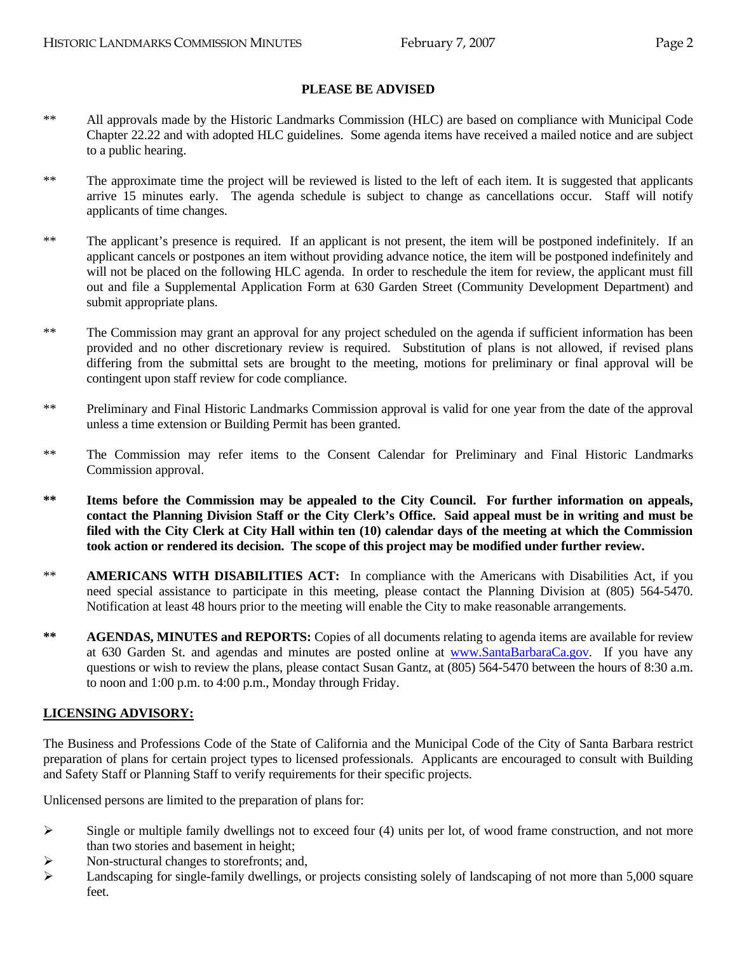### **PLEASE BE ADVISED**

- \*\* All approvals made by the Historic Landmarks Commission (HLC) are based on compliance with Municipal Code Chapter 22.22 and with adopted HLC guidelines. Some agenda items have received a mailed notice and are subject to a public hearing.
- \*\* The approximate time the project will be reviewed is listed to the left of each item. It is suggested that applicants arrive 15 minutes early. The agenda schedule is subject to change as cancellations occur. Staff will notify applicants of time changes.
- \*\* The applicant's presence is required. If an applicant is not present, the item will be postponed indefinitely. If an applicant cancels or postpones an item without providing advance notice, the item will be postponed indefinitely and will not be placed on the following HLC agenda. In order to reschedule the item for review, the applicant must fill out and file a Supplemental Application Form at 630 Garden Street (Community Development Department) and submit appropriate plans.
- \*\* The Commission may grant an approval for any project scheduled on the agenda if sufficient information has been provided and no other discretionary review is required. Substitution of plans is not allowed, if revised plans differing from the submittal sets are brought to the meeting, motions for preliminary or final approval will be contingent upon staff review for code compliance.
- \*\* Preliminary and Final Historic Landmarks Commission approval is valid for one year from the date of the approval unless a time extension or Building Permit has been granted.
- \*\* The Commission may refer items to the Consent Calendar for Preliminary and Final Historic Landmarks Commission approval.
- **\*\* Items before the Commission may be appealed to the City Council. For further information on appeals, contact the Planning Division Staff or the City Clerk's Office. Said appeal must be in writing and must be filed with the City Clerk at City Hall within ten (10) calendar days of the meeting at which the Commission took action or rendered its decision. The scope of this project may be modified under further review.**
- \*\* **AMERICANS WITH DISABILITIES ACT:** In compliance with the Americans with Disabilities Act, if you need special assistance to participate in this meeting, please contact the Planning Division at (805) 564-5470. Notification at least 48 hours prior to the meeting will enable the City to make reasonable arrangements.
- **\*\* AGENDAS, MINUTES and REPORTS:** Copies of all documents relating to agenda items are available for review at 630 Garden St. and agendas and minutes are posted online at [www.SantaBarbaraCa.gov](http://www.santabarbaraca.gov/). If you have any questions or wish to review the plans, please contact Susan Gantz, at (805) 564-5470 between the hours of 8:30 a.m. to noon and 1:00 p.m. to 4:00 p.m., Monday through Friday.

#### **LICENSING ADVISORY:**

The Business and Professions Code of the State of California and the Municipal Code of the City of Santa Barbara restrict preparation of plans for certain project types to licensed professionals. Applicants are encouraged to consult with Building and Safety Staff or Planning Staff to verify requirements for their specific projects.

Unlicensed persons are limited to the preparation of plans for:

- $\triangleright$  Single or multiple family dwellings not to exceed four (4) units per lot, of wood frame construction, and not more than two stories and basement in height;
- ¾ Non-structural changes to storefronts; and,
- $\blacktriangleright$  Landscaping for single-family dwellings, or projects consisting solely of landscaping of not more than 5,000 square feet.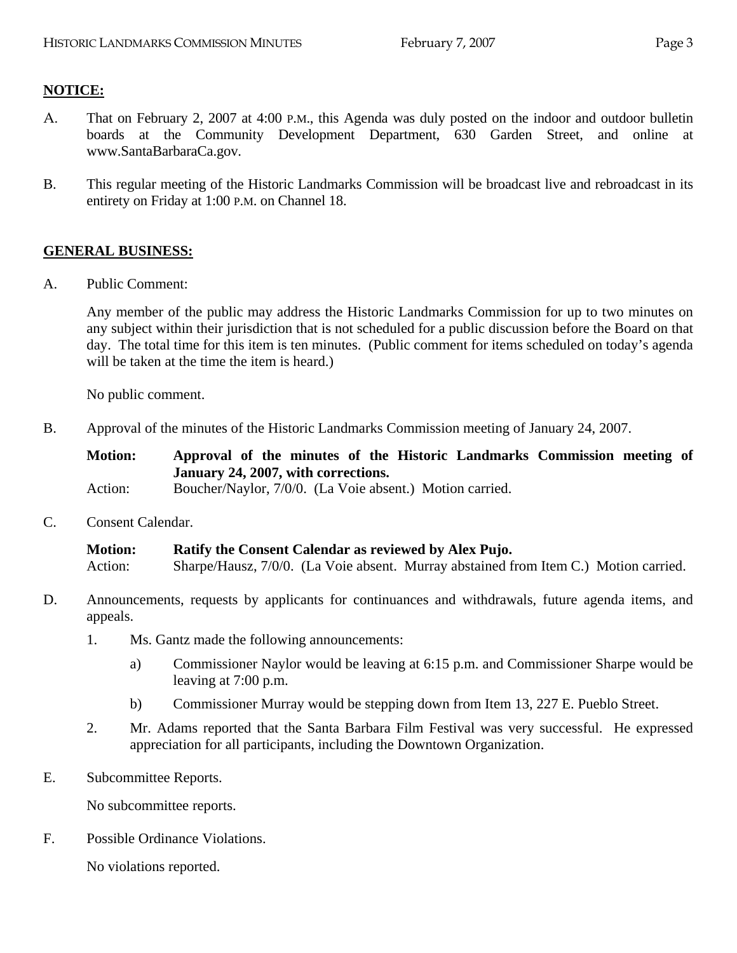# **NOTICE:**

- A. That on February 2, 2007 at 4:00 P.M., this Agenda was duly posted on the indoor and outdoor bulletin boards at the Community Development Department, 630 Garden Street, and online at www.SantaBarbaraCa.gov.
- B. This regular meeting of the Historic Landmarks Commission will be broadcast live and rebroadcast in its entirety on Friday at 1:00 P.M. on Channel 18.

## **GENERAL BUSINESS:**

A. Public Comment:

Any member of the public may address the Historic Landmarks Commission for up to two minutes on any subject within their jurisdiction that is not scheduled for a public discussion before the Board on that day. The total time for this item is ten minutes. (Public comment for items scheduled on today's agenda will be taken at the time the item is heard.)

No public comment.

B. Approval of the minutes of the Historic Landmarks Commission meeting of January 24, 2007.

**Motion: Approval of the minutes of the Historic Landmarks Commission meeting of January 24, 2007, with corrections.** 

Action: Boucher/Naylor, 7/0/0. (La Voie absent.) Motion carried.

C. Consent Calendar.

**Motion: Ratify the Consent Calendar as reviewed by Alex Pujo.**  Action: Sharpe/Hausz, 7/0/0. (La Voie absent. Murray abstained from Item C.) Motion carried.

- D. Announcements, requests by applicants for continuances and withdrawals, future agenda items, and appeals.
	- 1. Ms. Gantz made the following announcements:
		- a) Commissioner Naylor would be leaving at 6:15 p.m. and Commissioner Sharpe would be leaving at 7:00 p.m.
		- b) Commissioner Murray would be stepping down from Item 13, 227 E. Pueblo Street.
	- 2. Mr. Adams reported that the Santa Barbara Film Festival was very successful. He expressed appreciation for all participants, including the Downtown Organization.
- E. Subcommittee Reports.

No subcommittee reports.

F. Possible Ordinance Violations.

No violations reported.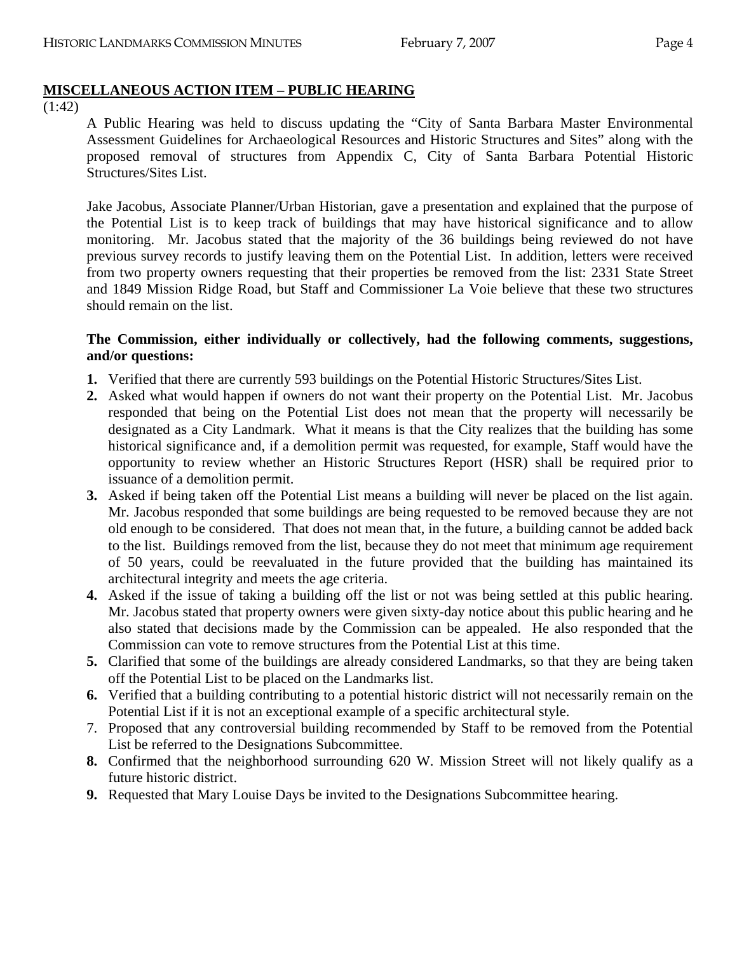# **MISCELLANEOUS ACTION ITEM – PUBLIC HEARING**

(1:42)

A Public Hearing was held to discuss updating the "City of Santa Barbara Master Environmental Assessment Guidelines for Archaeological Resources and Historic Structures and Sites" along with the proposed removal of structures from Appendix C, City of Santa Barbara Potential Historic Structures/Sites List.

Jake Jacobus, Associate Planner/Urban Historian, gave a presentation and explained that the purpose of the Potential List is to keep track of buildings that may have historical significance and to allow monitoring. Mr. Jacobus stated that the majority of the 36 buildings being reviewed do not have previous survey records to justify leaving them on the Potential List. In addition, letters were received from two property owners requesting that their properties be removed from the list: 2331 State Street and 1849 Mission Ridge Road, but Staff and Commissioner La Voie believe that these two structures should remain on the list.

### **The Commission, either individually or collectively, had the following comments, suggestions, and/or questions:**

- **1.** Verified that there are currently 593 buildings on the Potential Historic Structures/Sites List.
- **2.** Asked what would happen if owners do not want their property on the Potential List. Mr. Jacobus responded that being on the Potential List does not mean that the property will necessarily be designated as a City Landmark. What it means is that the City realizes that the building has some historical significance and, if a demolition permit was requested, for example, Staff would have the opportunity to review whether an Historic Structures Report (HSR) shall be required prior to issuance of a demolition permit.
- **3.** Asked if being taken off the Potential List means a building will never be placed on the list again. Mr. Jacobus responded that some buildings are being requested to be removed because they are not old enough to be considered. That does not mean that, in the future, a building cannot be added back to the list. Buildings removed from the list, because they do not meet that minimum age requirement of 50 years, could be reevaluated in the future provided that the building has maintained its architectural integrity and meets the age criteria.
- **4.** Asked if the issue of taking a building off the list or not was being settled at this public hearing. Mr. Jacobus stated that property owners were given sixty-day notice about this public hearing and he also stated that decisions made by the Commission can be appealed. He also responded that the Commission can vote to remove structures from the Potential List at this time.
- **5.** Clarified that some of the buildings are already considered Landmarks, so that they are being taken off the Potential List to be placed on the Landmarks list.
- **6.** Verified that a building contributing to a potential historic district will not necessarily remain on the Potential List if it is not an exceptional example of a specific architectural style.
- 7. Proposed that any controversial building recommended by Staff to be removed from the Potential List be referred to the Designations Subcommittee.
- **8.** Confirmed that the neighborhood surrounding 620 W. Mission Street will not likely qualify as a future historic district.
- **9.** Requested that Mary Louise Days be invited to the Designations Subcommittee hearing.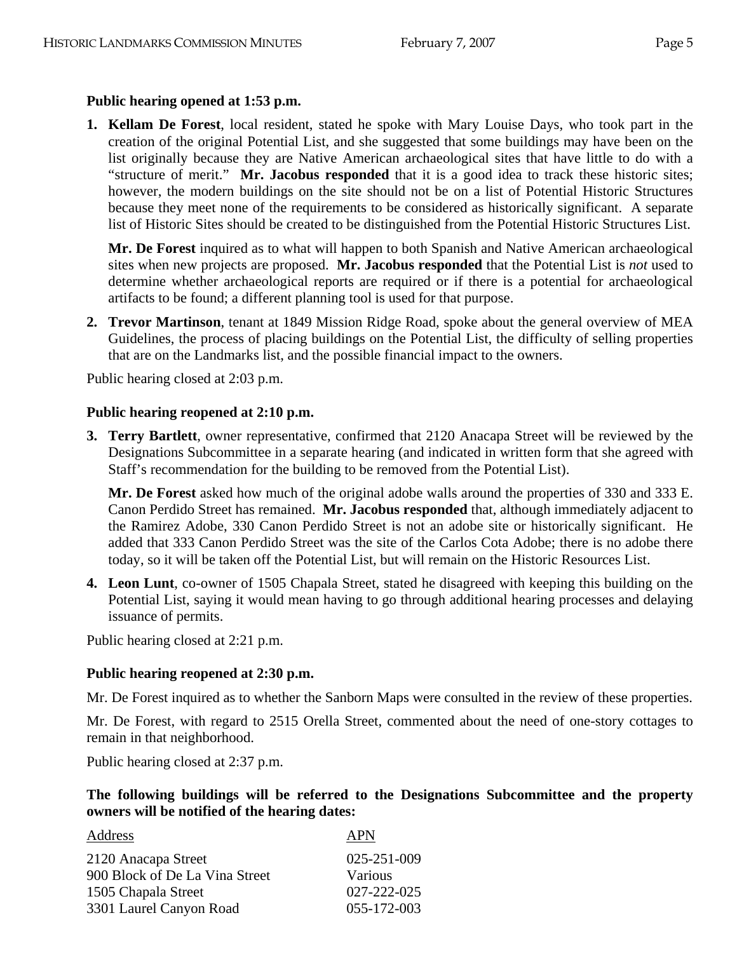### **Public hearing opened at 1:53 p.m.**

**1. Kellam De Forest**, local resident, stated he spoke with Mary Louise Days, who took part in the creation of the original Potential List, and she suggested that some buildings may have been on the list originally because they are Native American archaeological sites that have little to do with a "structure of merit." **Mr. Jacobus responded** that it is a good idea to track these historic sites; however, the modern buildings on the site should not be on a list of Potential Historic Structures because they meet none of the requirements to be considered as historically significant. A separate list of Historic Sites should be created to be distinguished from the Potential Historic Structures List.

**Mr. De Forest** inquired as to what will happen to both Spanish and Native American archaeological sites when new projects are proposed. **Mr. Jacobus responded** that the Potential List is *not* used to determine whether archaeological reports are required or if there is a potential for archaeological artifacts to be found; a different planning tool is used for that purpose.

**2. Trevor Martinson**, tenant at 1849 Mission Ridge Road, spoke about the general overview of MEA Guidelines, the process of placing buildings on the Potential List, the difficulty of selling properties that are on the Landmarks list, and the possible financial impact to the owners.

Public hearing closed at 2:03 p.m.

#### **Public hearing reopened at 2:10 p.m.**

**3. Terry Bartlett**, owner representative, confirmed that 2120 Anacapa Street will be reviewed by the Designations Subcommittee in a separate hearing (and indicated in written form that she agreed with Staff's recommendation for the building to be removed from the Potential List).

**Mr. De Forest** asked how much of the original adobe walls around the properties of 330 and 333 E. Canon Perdido Street has remained. **Mr. Jacobus responded** that, although immediately adjacent to the Ramirez Adobe, 330 Canon Perdido Street is not an adobe site or historically significant. He added that 333 Canon Perdido Street was the site of the Carlos Cota Adobe; there is no adobe there today, so it will be taken off the Potential List, but will remain on the Historic Resources List.

**4. Leon Lunt**, co-owner of 1505 Chapala Street, stated he disagreed with keeping this building on the Potential List, saying it would mean having to go through additional hearing processes and delaying issuance of permits.

Public hearing closed at 2:21 p.m.

### **Public hearing reopened at 2:30 p.m.**

Mr. De Forest inquired as to whether the Sanborn Maps were consulted in the review of these properties.

Mr. De Forest, with regard to 2515 Orella Street, commented about the need of one-story cottages to remain in that neighborhood.

Public hearing closed at 2:37 p.m.

**The following buildings will be referred to the Designations Subcommittee and the property owners will be notified of the hearing dates:** 

| Address                        | <b>APN</b>        |
|--------------------------------|-------------------|
| 2120 Anacapa Street            | 025-251-009       |
| 900 Block of De La Vina Street | Various           |
| 1505 Chapala Street            | $027 - 222 - 025$ |
| 3301 Laurel Canyon Road        | 055-172-003       |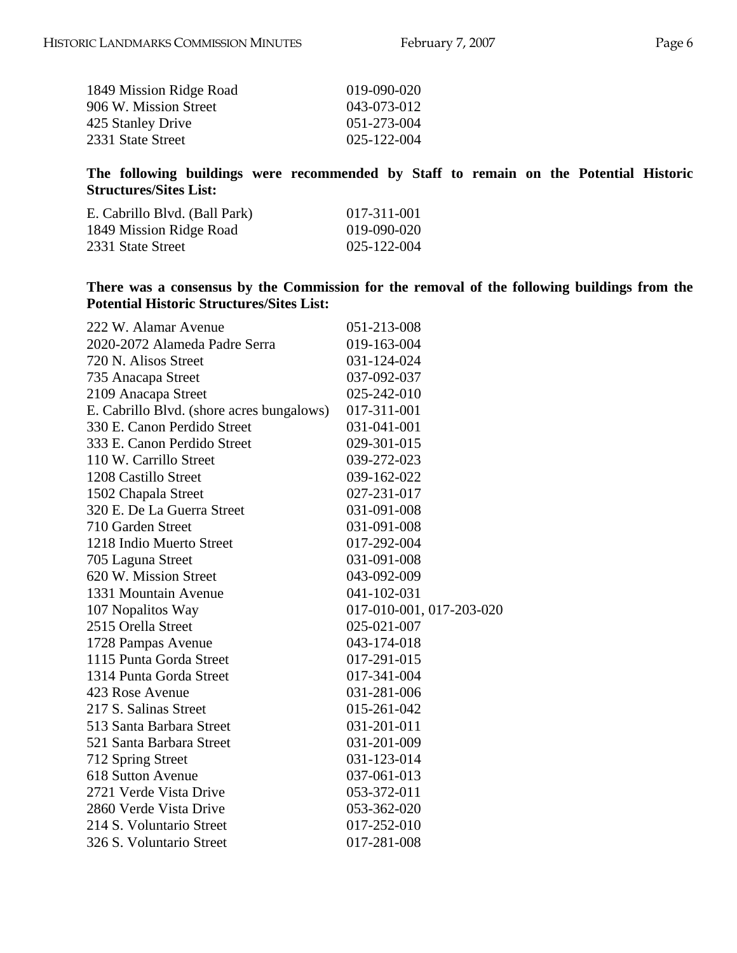| 019-090-020 |
|-------------|
| 043-073-012 |
| 051-273-004 |
| 025-122-004 |
|             |

**The following buildings were recommended by Staff to remain on the Potential Historic Structures/Sites List:** 

| E. Cabrillo Blvd. (Ball Park) | 017-311-001 |
|-------------------------------|-------------|
| 1849 Mission Ridge Road       | 019-090-020 |
| 2331 State Street             | 025-122-004 |

**There was a consensus by the Commission for the removal of the following buildings from the Potential Historic Structures/Sites List:** 

| 222 W. Alamar Avenue                      | 051-213-008              |
|-------------------------------------------|--------------------------|
| 2020-2072 Alameda Padre Serra             | 019-163-004              |
| 720 N. Alisos Street                      | 031-124-024              |
| 735 Anacapa Street                        | 037-092-037              |
| 2109 Anacapa Street                       | 025-242-010              |
| E. Cabrillo Blvd. (shore acres bungalows) | 017-311-001              |
| 330 E. Canon Perdido Street               | 031-041-001              |
| 333 E. Canon Perdido Street               | 029-301-015              |
| 110 W. Carrillo Street                    | 039-272-023              |
| 1208 Castillo Street                      | 039-162-022              |
| 1502 Chapala Street                       | 027-231-017              |
| 320 E. De La Guerra Street                | 031-091-008              |
| 710 Garden Street                         | 031-091-008              |
| 1218 Indio Muerto Street                  | 017-292-004              |
| 705 Laguna Street                         | 031-091-008              |
| 620 W. Mission Street                     | 043-092-009              |
| 1331 Mountain Avenue                      | 041-102-031              |
| 107 Nopalitos Way                         | 017-010-001, 017-203-020 |
| 2515 Orella Street                        | 025-021-007              |
| 1728 Pampas Avenue                        | 043-174-018              |
| 1115 Punta Gorda Street                   | 017-291-015              |
| 1314 Punta Gorda Street                   | 017-341-004              |
| 423 Rose Avenue                           | 031-281-006              |
| 217 S. Salinas Street                     | 015-261-042              |
| 513 Santa Barbara Street                  | 031-201-011              |
| 521 Santa Barbara Street                  | 031-201-009              |
| 712 Spring Street                         | 031-123-014              |
| 618 Sutton Avenue                         | 037-061-013              |
| 2721 Verde Vista Drive                    | 053-372-011              |
| 2860 Verde Vista Drive                    | 053-362-020              |
| 214 S. Voluntario Street                  | 017-252-010              |
| 326 S. Voluntario Street                  | 017-281-008              |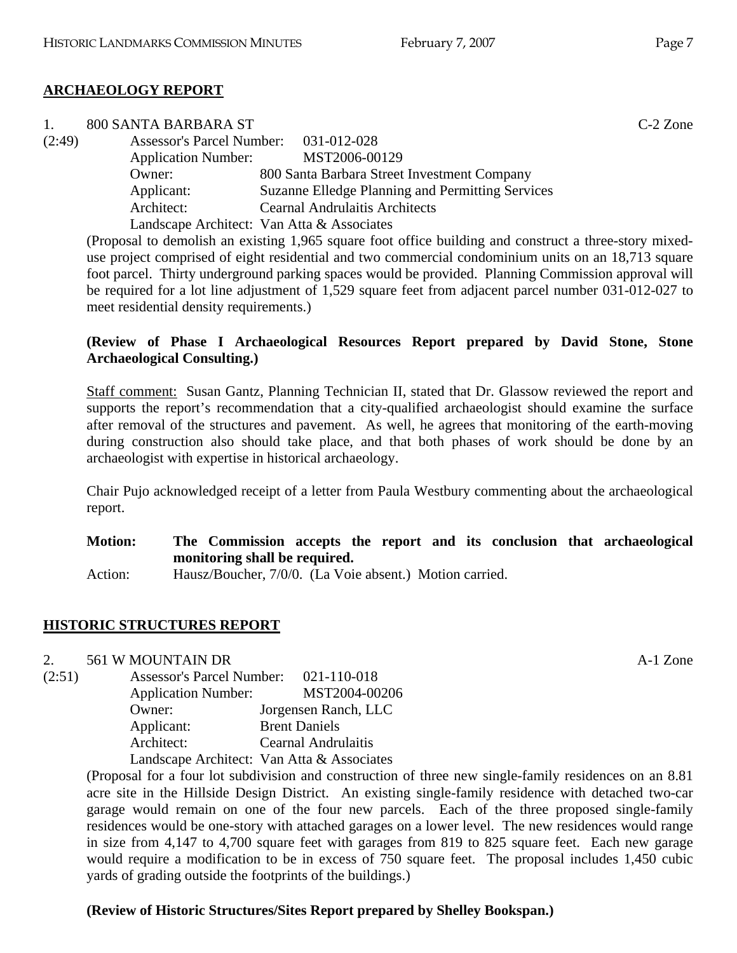### **ARCHAEOLOGY REPORT**

|        | 800 SANTA BARBARA ST                  |                                                                                                             | $C-2$ Zone |
|--------|---------------------------------------|-------------------------------------------------------------------------------------------------------------|------------|
| (2:49) | Assessor's Parcel Number: 031-012-028 |                                                                                                             |            |
|        | <b>Application Number:</b>            | MST2006-00129                                                                                               |            |
|        | Owner:                                | 800 Santa Barbara Street Investment Company                                                                 |            |
|        | Applicant:                            | Suzanne Elledge Planning and Permitting Services                                                            |            |
|        | Architect:                            | <b>Cearnal Andrulaitis Architects</b>                                                                       |            |
|        |                                       | Landscape Architect: Van Atta & Associates                                                                  |            |
|        |                                       | (Proposal to demolish an existing 1,965 square foot office building and construct a three-story mixed-      |            |
|        |                                       | $\ldots$ and that computed of state and factor of each compositor conditions and the car of $10.710$ cancel |            |

use project comprised of eight residential and two commercial condominium units on an 18,713 square foot parcel. Thirty underground parking spaces would be provided. Planning Commission approval will be required for a lot line adjustment of 1,529 square feet from adjacent parcel number 031-012-027 to meet residential density requirements.)

## **(Review of Phase I Archaeological Resources Report prepared by David Stone, Stone Archaeological Consulting.)**

Staff comment: Susan Gantz, Planning Technician II, stated that Dr. Glassow reviewed the report and supports the report's recommendation that a city-qualified archaeologist should examine the surface after removal of the structures and pavement. As well, he agrees that monitoring of the earth-moving during construction also should take place, and that both phases of work should be done by an archaeologist with expertise in historical archaeology.

Chair Pujo acknowledged receipt of a letter from Paula Westbury commenting about the archaeological report.

| <b>Motion:</b> | The Commission accepts the report and its conclusion that archaeological |
|----------------|--------------------------------------------------------------------------|
|                | monitoring shall be required.                                            |
| Action:        | Hausz/Boucher, 7/0/0. (La Voie absent.) Motion carried.                  |

## **HISTORIC STRUCTURES REPORT**

### 2. 561 W MOUNTAIN DR A-1 Zone

(2:51) Assessor's Parcel Number: 021-110-018 Application Number: MST2004-00206 Owner: Jorgensen Ranch, LLC Applicant: Brent Daniels Architect: Cearnal Andrulaitis Landscape Architect: Van Atta & Associates

(Proposal for a four lot subdivision and construction of three new single-family residences on an 8.81 acre site in the Hillside Design District. An existing single-family residence with detached two-car garage would remain on one of the four new parcels. Each of the three proposed single-family residences would be one-story with attached garages on a lower level. The new residences would range in size from 4,147 to 4,700 square feet with garages from 819 to 825 square feet. Each new garage would require a modification to be in excess of 750 square feet. The proposal includes 1,450 cubic yards of grading outside the footprints of the buildings.)

## **(Review of Historic Structures/Sites Report prepared by Shelley Bookspan.)**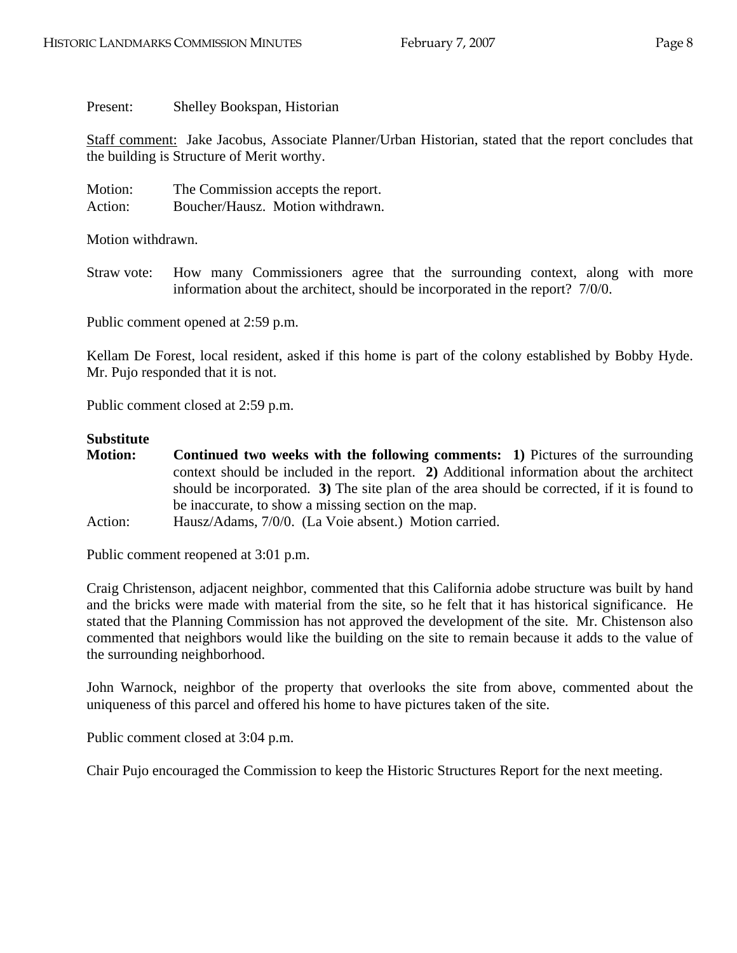Present: Shelley Bookspan, Historian

Staff comment: Jake Jacobus, Associate Planner/Urban Historian, stated that the report concludes that the building is Structure of Merit worthy.

Motion: The Commission accepts the report. Action: Boucher/Hausz. Motion withdrawn.

Motion withdrawn.

Straw vote: How many Commissioners agree that the surrounding context, along with more information about the architect, should be incorporated in the report? 7/0/0.

Public comment opened at 2:59 p.m.

Kellam De Forest, local resident, asked if this home is part of the colony established by Bobby Hyde. Mr. Pujo responded that it is not.

Public comment closed at 2:59 p.m.

#### **Substitute**

| <b>Motion:</b> | <b>Continued two weeks with the following comments:</b> 1) Pictures of the surrounding      |
|----------------|---------------------------------------------------------------------------------------------|
|                | context should be included in the report. 2) Additional information about the architect     |
|                | should be incorporated. 3) The site plan of the area should be corrected, if it is found to |
|                | be inaccurate, to show a missing section on the map.                                        |
| Action:        | Hausz/Adams, 7/0/0. (La Voie absent.) Motion carried.                                       |

Public comment reopened at 3:01 p.m.

Craig Christenson, adjacent neighbor, commented that this California adobe structure was built by hand and the bricks were made with material from the site, so he felt that it has historical significance. He stated that the Planning Commission has not approved the development of the site. Mr. Chistenson also commented that neighbors would like the building on the site to remain because it adds to the value of the surrounding neighborhood.

John Warnock, neighbor of the property that overlooks the site from above, commented about the uniqueness of this parcel and offered his home to have pictures taken of the site.

Public comment closed at 3:04 p.m.

Chair Pujo encouraged the Commission to keep the Historic Structures Report for the next meeting.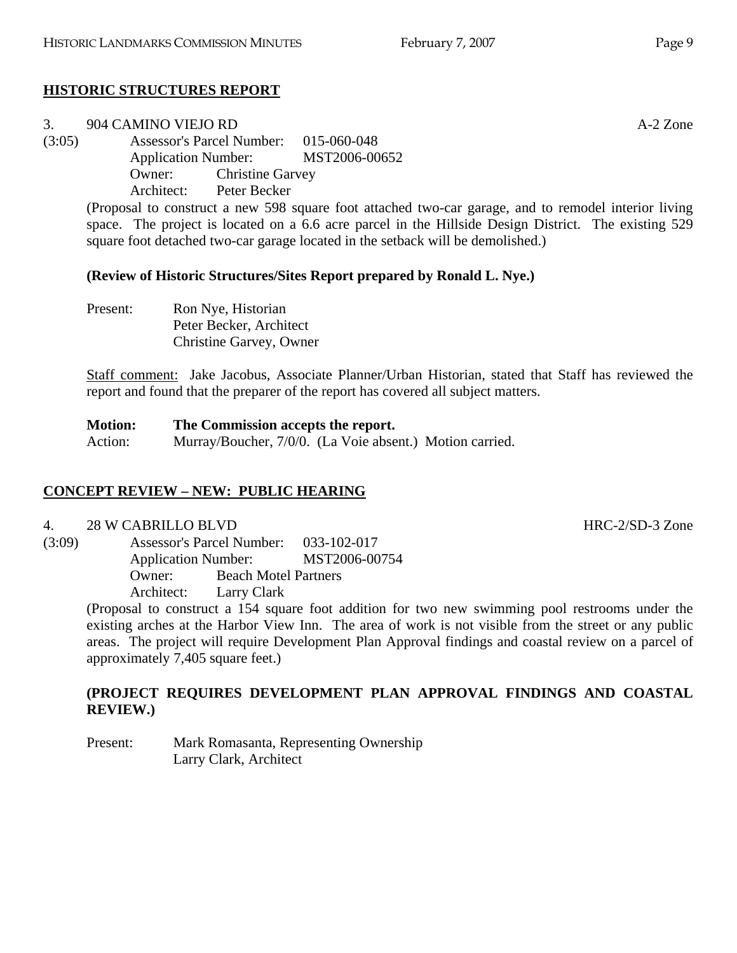# **HISTORIC STRUCTURES REPORT**

### 3. 904 CAMINO VIEJO RD A-2 Zone (3:05) Assessor's Parcel Number: 015-060-048 Application Number: MST2006-00652 Owner: Christine Garvey Architect: Peter Becker

(Proposal to construct a new 598 square foot attached two-car garage, and to remodel interior living space. The project is located on a 6.6 acre parcel in the Hillside Design District. The existing 529 square foot detached two-car garage located in the setback will be demolished.)

# **(Review of Historic Structures/Sites Report prepared by Ronald L. Nye.)**

Present: Ron Nye, Historian Peter Becker, Architect Christine Garvey, Owner

Staff comment: Jake Jacobus, Associate Planner/Urban Historian, stated that Staff has reviewed the report and found that the preparer of the report has covered all subject matters.

#### **Motion: The Commission accepts the report.**  Action: Murray/Boucher, 7/0/0. (La Voie absent.) Motion carried.

# **CONCEPT REVIEW – NEW: PUBLIC HEARING**

4. 28 W CABRILLO BLVD HRC-2/SD-3 Zone

(3:09) Assessor's Parcel Number: 033-102-017 Application Number: MST2006-00754 Owner: Beach Motel Partners Architect: Larry Clark

(Proposal to construct a 154 square foot addition for two new swimming pool restrooms under the existing arches at the Harbor View Inn. The area of work is not visible from the street or any public areas. The project will require Development Plan Approval findings and coastal review on a parcel of approximately 7,405 square feet.)

# **(PROJECT REQUIRES DEVELOPMENT PLAN APPROVAL FINDINGS AND COASTAL REVIEW.)**

Present: Mark Romasanta, Representing Ownership Larry Clark, Architect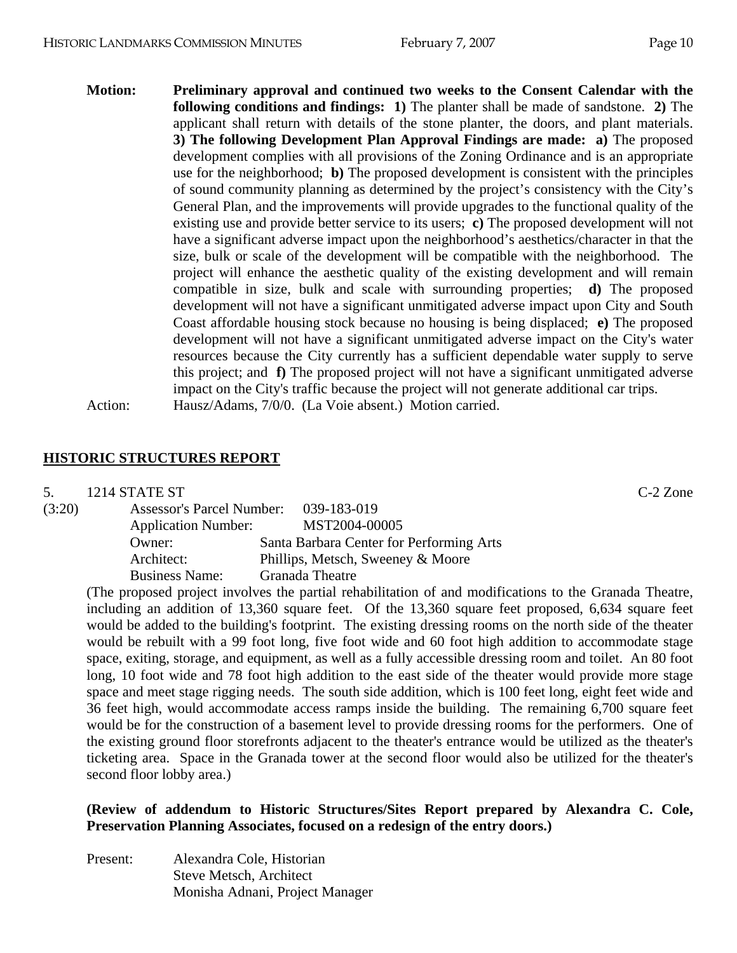**Motion: Preliminary approval and continued two weeks to the Consent Calendar with the following conditions and findings: 1)** The planter shall be made of sandstone. **2)** The applicant shall return with details of the stone planter, the doors, and plant materials. **3) The following Development Plan Approval Findings are made: a)** The proposed development complies with all provisions of the Zoning Ordinance and is an appropriate use for the neighborhood; **b)** The proposed development is consistent with the principles of sound community planning as determined by the project's consistency with the City's General Plan, and the improvements will provide upgrades to the functional quality of the existing use and provide better service to its users; **c)** The proposed development will not have a significant adverse impact upon the neighborhood's aesthetics/character in that the size, bulk or scale of the development will be compatible with the neighborhood. The project will enhance the aesthetic quality of the existing development and will remain compatible in size, bulk and scale with surrounding properties; **d)** The proposed development will not have a significant unmitigated adverse impact upon City and South Coast affordable housing stock because no housing is being displaced; **e)** The proposed development will not have a significant unmitigated adverse impact on the City's water resources because the City currently has a sufficient dependable water supply to serve this project; and **f)** The proposed project will not have a significant unmitigated adverse impact on the City's traffic because the project will not generate additional car trips. Action: Hausz/Adams, 7/0/0. (La Voie absent.) Motion carried.

## **HISTORIC STRUCTURES REPORT**

5. 1214 STATE ST C-2 Zone

| (3:20) | <b>Assessor's Parcel Number:</b> | 039-183-019                              |
|--------|----------------------------------|------------------------------------------|
|        | <b>Application Number:</b>       | MST2004-00005                            |
|        | Owner:                           | Santa Barbara Center for Performing Arts |
|        | Architect:                       | Phillips, Metsch, Sweeney & Moore        |
|        | <b>Business Name:</b>            | Granada Theatre                          |

(The proposed project involves the partial rehabilitation of and modifications to the Granada Theatre, including an addition of 13,360 square feet. Of the 13,360 square feet proposed, 6,634 square feet would be added to the building's footprint. The existing dressing rooms on the north side of the theater would be rebuilt with a 99 foot long, five foot wide and 60 foot high addition to accommodate stage space, exiting, storage, and equipment, as well as a fully accessible dressing room and toilet. An 80 foot long, 10 foot wide and 78 foot high addition to the east side of the theater would provide more stage space and meet stage rigging needs. The south side addition, which is 100 feet long, eight feet wide and 36 feet high, would accommodate access ramps inside the building. The remaining 6,700 square feet would be for the construction of a basement level to provide dressing rooms for the performers. One of the existing ground floor storefronts adjacent to the theater's entrance would be utilized as the theater's ticketing area. Space in the Granada tower at the second floor would also be utilized for the theater's second floor lobby area.)

## **(Review of addendum to Historic Structures/Sites Report prepared by Alexandra C. Cole, Preservation Planning Associates, focused on a redesign of the entry doors.)**

Present: Alexandra Cole, Historian Steve Metsch, Architect Monisha Adnani, Project Manager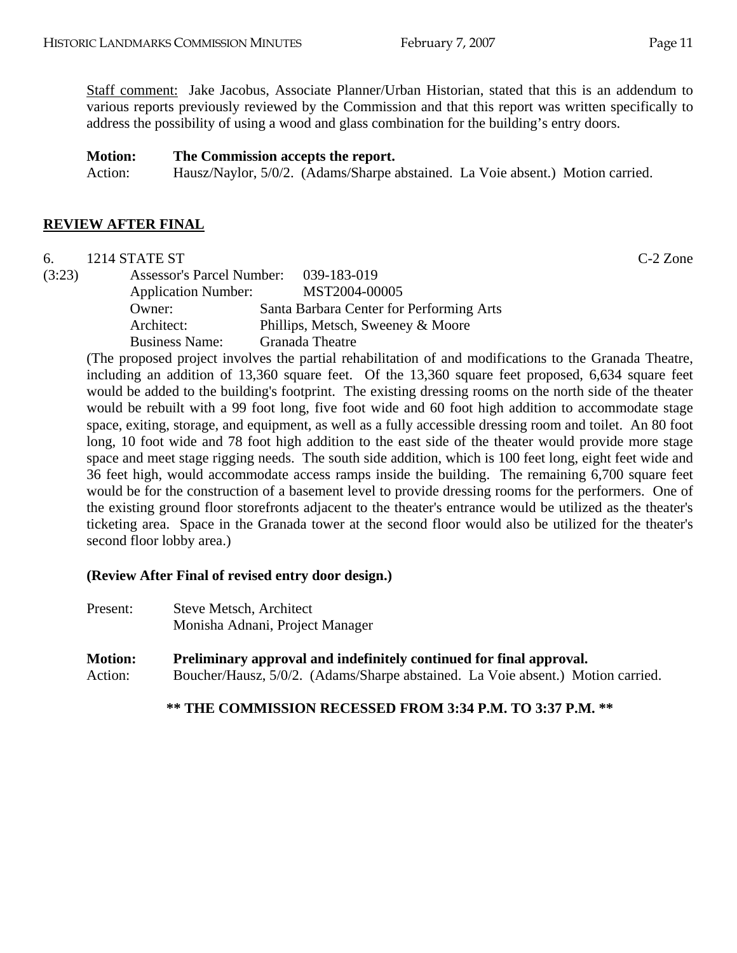Staff comment: Jake Jacobus, Associate Planner/Urban Historian, stated that this is an addendum to various reports previously reviewed by the Commission and that this report was written specifically to address the possibility of using a wood and glass combination for the building's entry doors.

### **Motion: The Commission accepts the report.**

Action: Hausz/Naylor, 5/0/2. (Adams/Sharpe abstained. La Voie absent.) Motion carried.

#### **REVIEW AFTER FINAL**

6. 1214 STATE ST C-2 Zone

(3:23) Assessor's Parcel Number: 039-183-019 Application Number: MST2004-00005 Owner: Santa Barbara Center for Performing Arts Architect: Phillips, Metsch, Sweeney & Moore Business Name: Granada Theatre

(The proposed project involves the partial rehabilitation of and modifications to the Granada Theatre, including an addition of 13,360 square feet. Of the 13,360 square feet proposed, 6,634 square feet would be added to the building's footprint. The existing dressing rooms on the north side of the theater would be rebuilt with a 99 foot long, five foot wide and 60 foot high addition to accommodate stage space, exiting, storage, and equipment, as well as a fully accessible dressing room and toilet. An 80 foot long, 10 foot wide and 78 foot high addition to the east side of the theater would provide more stage space and meet stage rigging needs. The south side addition, which is 100 feet long, eight feet wide and 36 feet high, would accommodate access ramps inside the building. The remaining 6,700 square feet would be for the construction of a basement level to provide dressing rooms for the performers. One of the existing ground floor storefronts adjacent to the theater's entrance would be utilized as the theater's ticketing area. Space in the Granada tower at the second floor would also be utilized for the theater's second floor lobby area.)

### **(Review After Final of revised entry door design.)**

- Present: Steve Metsch, Architect Monisha Adnani, Project Manager
- **Motion: Preliminary approval and indefinitely continued for final approval.**  Action: Boucher/Hausz, 5/0/2. (Adams/Sharpe abstained. La Voie absent.) Motion carried.

**\*\* THE COMMISSION RECESSED FROM 3:34 P.M. TO 3:37 P.M. \*\***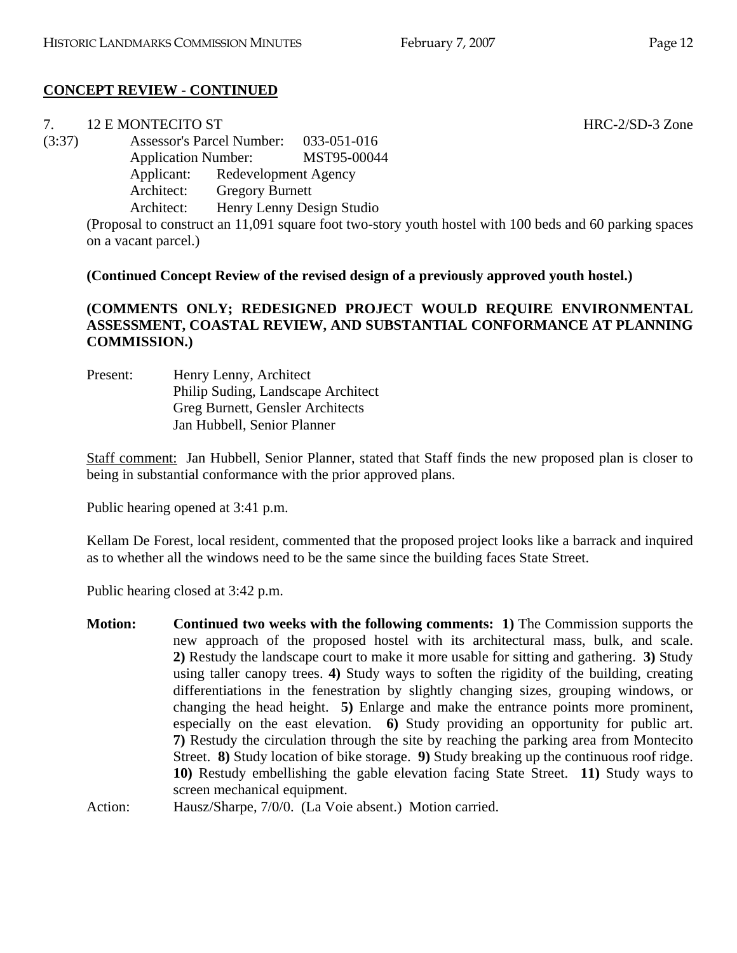# **CONCEPT REVIEW - CONTINUED**

|        | 12 E MONTECITO ST          |                                  | HRC-2/SD-3 Zone                                                                                         |  |
|--------|----------------------------|----------------------------------|---------------------------------------------------------------------------------------------------------|--|
| (3:37) |                            | <b>Assessor's Parcel Number:</b> | 033-051-016                                                                                             |  |
|        | <b>Application Number:</b> |                                  | MST95-00044                                                                                             |  |
|        | Applicant:                 | Redevelopment Agency             |                                                                                                         |  |
|        | Architect:                 | <b>Gregory Burnett</b>           |                                                                                                         |  |
|        | Architect:                 |                                  | Henry Lenny Design Studio                                                                               |  |
|        |                            |                                  | (Proposal to construct an 11,091 square foot two-story youth hostel with 100 beds and 60 parking spaces |  |
|        | on a vacant parcel.)       |                                  |                                                                                                         |  |
|        |                            |                                  |                                                                                                         |  |

## **(Continued Concept Review of the revised design of a previously approved youth hostel.)**

# **(COMMENTS ONLY; REDESIGNED PROJECT WOULD REQUIRE ENVIRONMENTAL ASSESSMENT, COASTAL REVIEW, AND SUBSTANTIAL CONFORMANCE AT PLANNING COMMISSION.)**

Present: Henry Lenny, Architect Philip Suding, Landscape Architect Greg Burnett, Gensler Architects Jan Hubbell, Senior Planner

Staff comment: Jan Hubbell, Senior Planner, stated that Staff finds the new proposed plan is closer to being in substantial conformance with the prior approved plans.

Public hearing opened at 3:41 p.m.

Kellam De Forest, local resident, commented that the proposed project looks like a barrack and inquired as to whether all the windows need to be the same since the building faces State Street.

Public hearing closed at 3:42 p.m.

**Motion:** Continued two weeks with the following comments: 1) The Commission supports the new approach of the proposed hostel with its architectural mass, bulk, and scale. **2)** Restudy the landscape court to make it more usable for sitting and gathering. **3)** Study using taller canopy trees. **4)** Study ways to soften the rigidity of the building, creating differentiations in the fenestration by slightly changing sizes, grouping windows, or changing the head height. **5)** Enlarge and make the entrance points more prominent, especially on the east elevation. **6)** Study providing an opportunity for public art. **7)** Restudy the circulation through the site by reaching the parking area from Montecito Street. **8)** Study location of bike storage. **9)** Study breaking up the continuous roof ridge. **10)** Restudy embellishing the gable elevation facing State Street. **11)** Study ways to screen mechanical equipment.

Action: Hausz/Sharpe, 7/0/0. (La Voie absent.) Motion carried.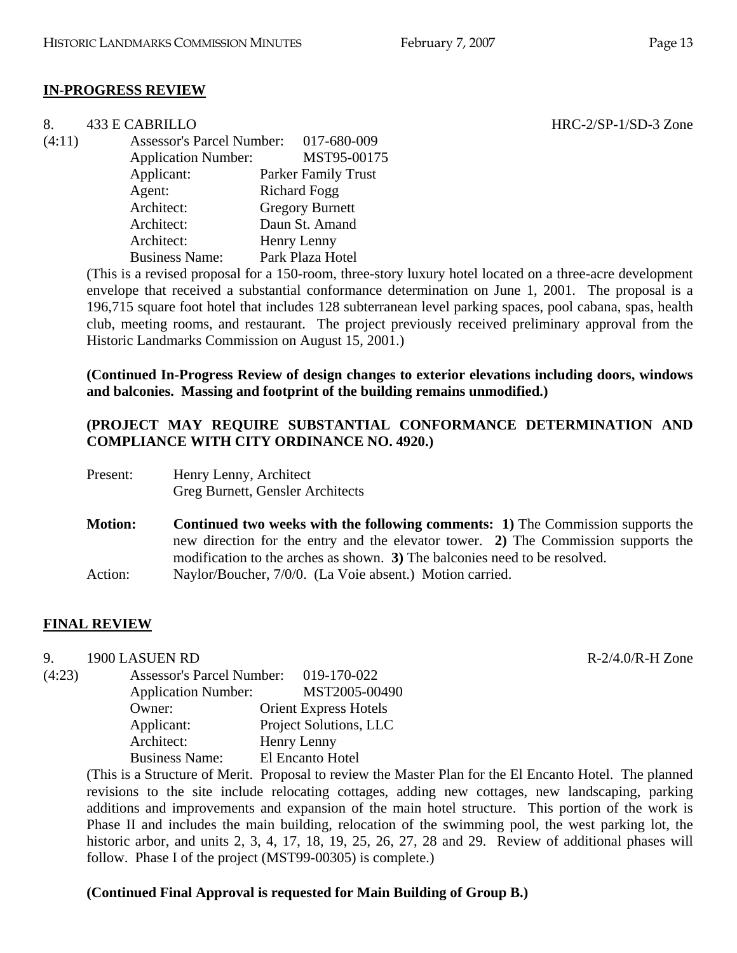### **IN-PROGRESS REVIEW**

| 8.     | 433 E CABRILLO             |                                       | $HRC-2/SP-1/SD-3$ Zone |
|--------|----------------------------|---------------------------------------|------------------------|
| (4:11) |                            | Assessor's Parcel Number: 017-680-009 |                        |
|        | <b>Application Number:</b> | MST95-00175                           |                        |
|        | Applicant:                 | <b>Parker Family Trust</b>            |                        |
|        | Agent:                     | <b>Richard Fogg</b>                   |                        |
|        | Architect:                 | <b>Gregory Burnett</b>                |                        |
|        | Architect:                 | Daun St. Amand                        |                        |
|        | Architect:                 | Henry Lenny                           |                        |
|        | <b>Business Name:</b>      | Park Plaza Hotel                      |                        |
|        |                            |                                       |                        |

(This is a revised proposal for a 150-room, three-story luxury hotel located on a three-acre development envelope that received a substantial conformance determination on June 1, 2001. The proposal is a 196,715 square foot hotel that includes 128 subterranean level parking spaces, pool cabana, spas, health club, meeting rooms, and restaurant. The project previously received preliminary approval from the Historic Landmarks Commission on August 15, 2001.)

**(Continued In-Progress Review of design changes to exterior elevations including doors, windows and balconies. Massing and footprint of the building remains unmodified.)** 

### **(PROJECT MAY REQUIRE SUBSTANTIAL CONFORMANCE DETERMINATION AND COMPLIANCE WITH CITY ORDINANCE NO. 4920.)**

| Present: | Henry Lenny, Architect           |
|----------|----------------------------------|
|          | Greg Burnett, Gensler Architects |
|          |                                  |

**Motion:** Continued two weeks with the following comments: 1) The Commission supports the new direction for the entry and the elevator tower. **2)** The Commission supports the modification to the arches as shown. **3)** The balconies need to be resolved. Action: Naylor/Boucher, 7/0/0. (La Voie absent.) Motion carried.

## **FINAL REVIEW**

9. 1900 LASUEN RD R-2/4.0/R-H Zone

(4:23) Assessor's Parcel Number: 019-170-022 Application Number: MST2005-00490 Owner: Orient Express Hotels Applicant: Project Solutions, LLC Architect: Henry Lenny Business Name: El Encanto Hotel

> (This is a Structure of Merit. Proposal to review the Master Plan for the El Encanto Hotel. The planned revisions to the site include relocating cottages, adding new cottages, new landscaping, parking additions and improvements and expansion of the main hotel structure. This portion of the work is Phase II and includes the main building, relocation of the swimming pool, the west parking lot, the historic arbor, and units 2, 3, 4, 17, 18, 19, 25, 26, 27, 28 and 29. Review of additional phases will follow. Phase I of the project (MST99-00305) is complete.)

## **(Continued Final Approval is requested for Main Building of Group B.)**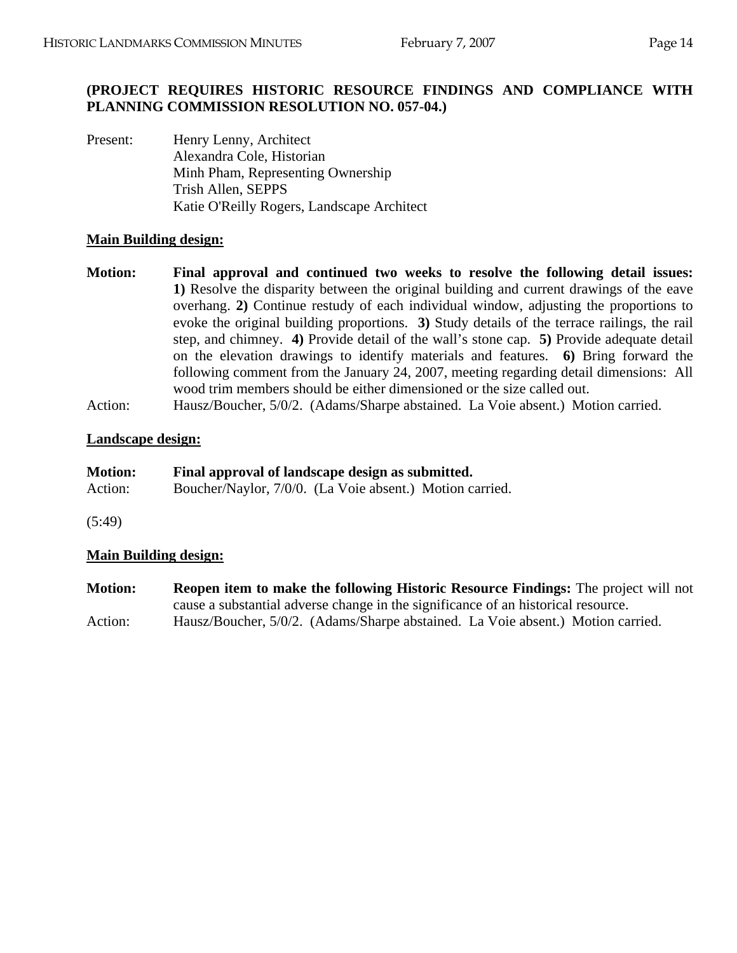# **(PROJECT REQUIRES HISTORIC RESOURCE FINDINGS AND COMPLIANCE WITH PLANNING COMMISSION RESOLUTION NO. 057-04.)**

Present: Henry Lenny, Architect Alexandra Cole, Historian Minh Pham, Representing Ownership Trish Allen, SEPPS Katie O'Reilly Rogers, Landscape Architect

# **Main Building design:**

- **Motion: Final approval and continued two weeks to resolve the following detail issues: 1)** Resolve the disparity between the original building and current drawings of the eave overhang. **2)** Continue restudy of each individual window, adjusting the proportions to evoke the original building proportions. **3)** Study details of the terrace railings, the rail step, and chimney. **4)** Provide detail of the wall's stone cap. **5)** Provide adequate detail on the elevation drawings to identify materials and features. **6)** Bring forward the following comment from the January 24, 2007, meeting regarding detail dimensions: All wood trim members should be either dimensioned or the size called out.
- Action: Hausz/Boucher, 5/0/2. (Adams/Sharpe abstained. La Voie absent.) Motion carried.

# **Landscape design:**

| <b>Motion:</b> | Final approval of landscape design as submitted.        |
|----------------|---------------------------------------------------------|
| Action:        | Boucher/Naylor, 7/0/0. (La Voie absent.) Motion carried |

(5:49)

# **Main Building design:**

**Motion: Reopen item to make the following Historic Resource Findings:** The project will not cause a substantial adverse change in the significance of an historical resource. Action: Hausz/Boucher, 5/0/2. (Adams/Sharpe abstained. La Voie absent.) Motion carried.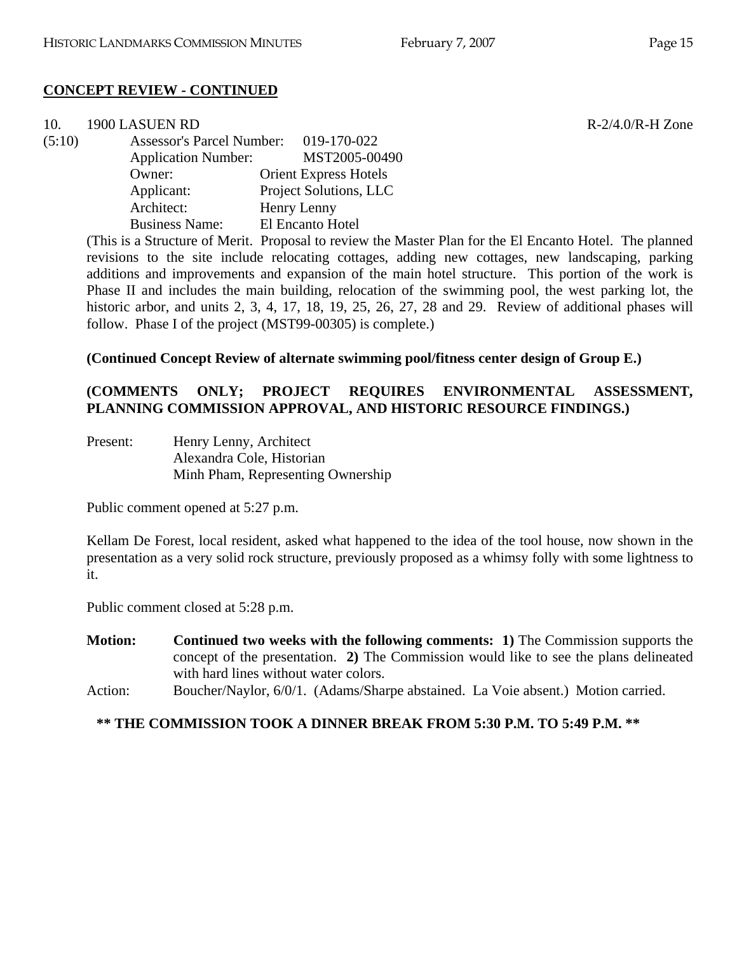$R-2/4.0/R-H$  Zone

# **CONCEPT REVIEW - CONTINUED**

| 10.    | 1900 LASUEN RD                   |                              |
|--------|----------------------------------|------------------------------|
| (5:10) | <b>Assessor's Parcel Number:</b> | 019-170-022                  |
|        | <b>Application Number:</b>       | MST2005-00490                |
|        | Owner:                           | <b>Orient Express Hotels</b> |
|        | Applicant:                       | Project Solutions, LLC       |
|        | Architect:                       | Henry Lenny                  |
|        | <b>Business Name:</b>            | El Encanto Hotel             |

(This is a Structure of Merit. Proposal to review the Master Plan for the El Encanto Hotel. The planned revisions to the site include relocating cottages, adding new cottages, new landscaping, parking additions and improvements and expansion of the main hotel structure. This portion of the work is Phase II and includes the main building, relocation of the swimming pool, the west parking lot, the historic arbor, and units 2, 3, 4, 17, 18, 19, 25, 26, 27, 28 and 29. Review of additional phases will follow. Phase I of the project (MST99-00305) is complete.)

**(Continued Concept Review of alternate swimming pool/fitness center design of Group E.)** 

# **(COMMENTS ONLY; PROJECT REQUIRES ENVIRONMENTAL ASSESSMENT, PLANNING COMMISSION APPROVAL, AND HISTORIC RESOURCE FINDINGS.)**

Present: Henry Lenny, Architect Alexandra Cole, Historian Minh Pham, Representing Ownership

Public comment opened at 5:27 p.m.

Kellam De Forest, local resident, asked what happened to the idea of the tool house, now shown in the presentation as a very solid rock structure, previously proposed as a whimsy folly with some lightness to it.

Public comment closed at 5:28 p.m.

- **Motion: Continued two weeks with the following comments: 1)** The Commission supports the concept of the presentation. **2)** The Commission would like to see the plans delineated with hard lines without water colors.
- Action: Boucher/Naylor, 6/0/1. (Adams/Sharpe abstained. La Voie absent.) Motion carried.

## **\*\* THE COMMISSION TOOK A DINNER BREAK FROM 5:30 P.M. TO 5:49 P.M. \*\***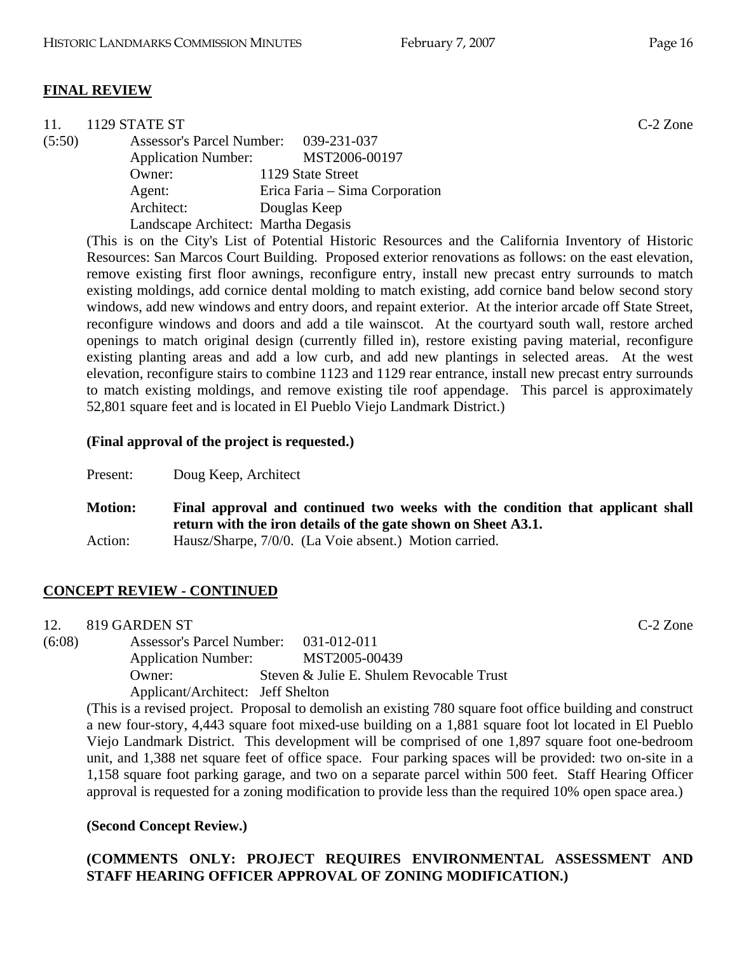|        | 1129 STATE ST                         |                                | $C-2$ Zone |
|--------|---------------------------------------|--------------------------------|------------|
| (5:50) | Assessor's Parcel Number: 039-231-037 |                                |            |
|        | <b>Application Number:</b>            | MST2006-00197                  |            |
|        | Owner:                                | 1129 State Street              |            |
|        | Agent:                                | Erica Faria – Sima Corporation |            |
|        | Architect:                            | Douglas Keep                   |            |
|        | Landscape Architect: Martha Degasis   |                                |            |

(This is on the City's List of Potential Historic Resources and the California Inventory of Historic Resources: San Marcos Court Building. Proposed exterior renovations as follows: on the east elevation, remove existing first floor awnings, reconfigure entry, install new precast entry surrounds to match existing moldings, add cornice dental molding to match existing, add cornice band below second story windows, add new windows and entry doors, and repaint exterior. At the interior arcade off State Street, reconfigure windows and doors and add a tile wainscot. At the courtyard south wall, restore arched openings to match original design (currently filled in), restore existing paving material, reconfigure existing planting areas and add a low curb, and add new plantings in selected areas. At the west elevation, reconfigure stairs to combine 1123 and 1129 rear entrance, install new precast entry surrounds to match existing moldings, and remove existing tile roof appendage. This parcel is approximately 52,801 square feet and is located in El Pueblo Viejo Landmark District.)

### **(Final approval of the project is requested.)**

Present: Doug Keep, Architect

**Motion: Final approval and continued two weeks with the condition that applicant shall return with the iron details of the gate shown on Sheet A3.1.**  Action: Hausz/Sharpe, 7/0/0. (La Voie absent.) Motion carried.

## **CONCEPT REVIEW - CONTINUED**

12. 819 GARDEN ST C-2 Zone

(6:08) Assessor's Parcel Number: 031-012-011 Application Number: MST2005-00439 Owner: Steven & Julie E. Shulem Revocable Trust Applicant/Architect: Jeff Shelton

(This is a revised project. Proposal to demolish an existing 780 square foot office building and construct a new four-story, 4,443 square foot mixed-use building on a 1,881 square foot lot located in El Pueblo Viejo Landmark District. This development will be comprised of one 1,897 square foot one-bedroom unit, and 1,388 net square feet of office space. Four parking spaces will be provided: two on-site in a 1,158 square foot parking garage, and two on a separate parcel within 500 feet. Staff Hearing Officer approval is requested for a zoning modification to provide less than the required 10% open space area.)

## **(Second Concept Review.)**

## **(COMMENTS ONLY: PROJECT REQUIRES ENVIRONMENTAL ASSESSMENT AND STAFF HEARING OFFICER APPROVAL OF ZONING MODIFICATION.)**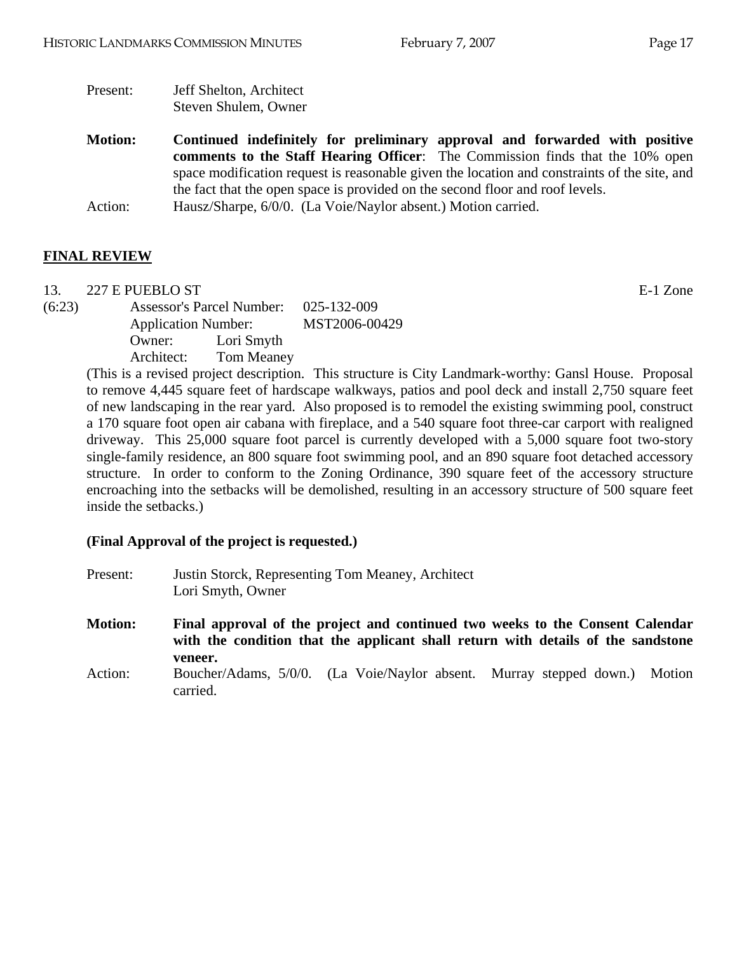- Present: Jeff Shelton, Architect Steven Shulem, Owner
- **Motion: Continued indefinitely for preliminary approval and forwarded with positive comments to the Staff Hearing Officer**: The Commission finds that the 10% open space modification request is reasonable given the location and constraints of the site, and the fact that the open space is provided on the second floor and roof levels. Action: Hausz/Sharpe, 6/0/0. (La Voie/Naylor absent.) Motion carried.

# **FINAL REVIEW**

13. 227 E PUEBLO ST E-1 Zone

(6:23) Assessor's Parcel Number: 025-132-009 Application Number: MST2006-00429 Owner: Lori Smyth Architect: Tom Meaney

(This is a revised project description. This structure is City Landmark-worthy: Gansl House. Proposal to remove 4,445 square feet of hardscape walkways, patios and pool deck and install 2,750 square feet of new landscaping in the rear yard. Also proposed is to remodel the existing swimming pool, construct a 170 square foot open air cabana with fireplace, and a 540 square foot three-car carport with realigned driveway. This 25,000 square foot parcel is currently developed with a 5,000 square foot two-story single-family residence, an 800 square foot swimming pool, and an 890 square foot detached accessory structure. In order to conform to the Zoning Ordinance, 390 square feet of the accessory structure encroaching into the setbacks will be demolished, resulting in an accessory structure of 500 square feet inside the setbacks.)

## **(Final Approval of the project is requested.)**

| Present:       | Justin Storck, Representing Tom Meaney, Architect<br>Lori Smyth, Owner                                                                                                       |
|----------------|------------------------------------------------------------------------------------------------------------------------------------------------------------------------------|
| <b>Motion:</b> | Final approval of the project and continued two weeks to the Consent Calendar<br>with the condition that the applicant shall return with details of the sandstone<br>veneer. |
| Action:        | Boucher/Adams, 5/0/0. (La Voie/Naylor absent. Murray stepped down.) Motion<br>carried.                                                                                       |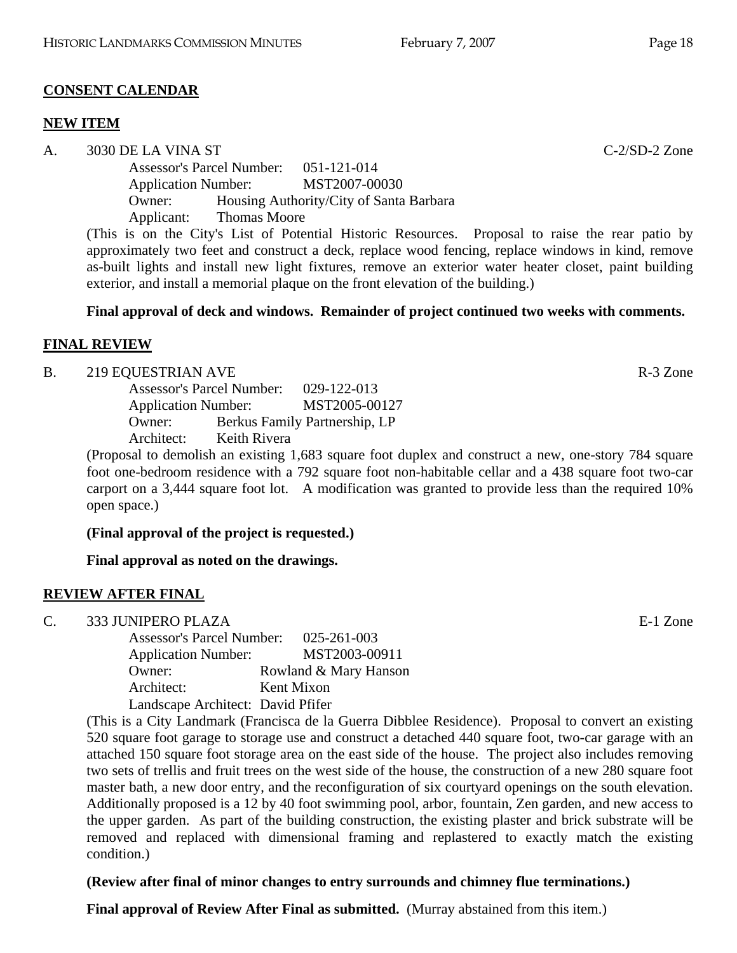### **CONSENT CALENDAR**

### **NEW ITEM**

A. 3030 DE LA VINA ST C-2/SD-2 Zone

Assessor's Parcel Number: 051-121-014 Application Number: MST2007-00030 Owner: Housing Authority/City of Santa Barbara Applicant: Thomas Moore

(This is on the City's List of Potential Historic Resources. Proposal to raise the rear patio by approximately two feet and construct a deck, replace wood fencing, replace windows in kind, remove as-built lights and install new light fixtures, remove an exterior water heater closet, paint building exterior, and install a memorial plaque on the front elevation of the building.)

### **Final approval of deck and windows. Remainder of project continued two weeks with comments.**

### **FINAL REVIEW**

B. 219 EQUESTRIAN AVE R-3 Zone

|            | <b>Assessor's Parcel Number:</b> |                               |
|------------|----------------------------------|-------------------------------|
|            | <b>Application Number:</b>       |                               |
| Owner:     |                                  | Berkus Family Partnership, LP |
| Architect: | Keith Rivera                     |                               |

(Proposal to demolish an existing 1,683 square foot duplex and construct a new, one-story 784 square foot one-bedroom residence with a 792 square foot non-habitable cellar and a 438 square foot two-car carport on a 3,444 square foot lot. A modification was granted to provide less than the required 10% open space.)

**(Final approval of the project is requested.)** 

**Final approval as noted on the drawings.** 

## **REVIEW AFTER FINAL**

C. 333 JUNIPERO PLAZA E-1 Zone

Assessor's Parcel Number: 025-261-003 Application Number: MST2003-00911 Owner: Rowland & Mary Hanson Architect: Kent Mixon Landscape Architect: David Pfifer

(This is a City Landmark (Francisca de la Guerra Dibblee Residence). Proposal to convert an existing 520 square foot garage to storage use and construct a detached 440 square foot, two-car garage with an attached 150 square foot storage area on the east side of the house. The project also includes removing two sets of trellis and fruit trees on the west side of the house, the construction of a new 280 square foot master bath, a new door entry, and the reconfiguration of six courtyard openings on the south elevation. Additionally proposed is a 12 by 40 foot swimming pool, arbor, fountain, Zen garden, and new access to the upper garden. As part of the building construction, the existing plaster and brick substrate will be removed and replaced with dimensional framing and replastered to exactly match the existing condition.)

## **(Review after final of minor changes to entry surrounds and chimney flue terminations.)**

**Final approval of Review After Final as submitted.** (Murray abstained from this item.)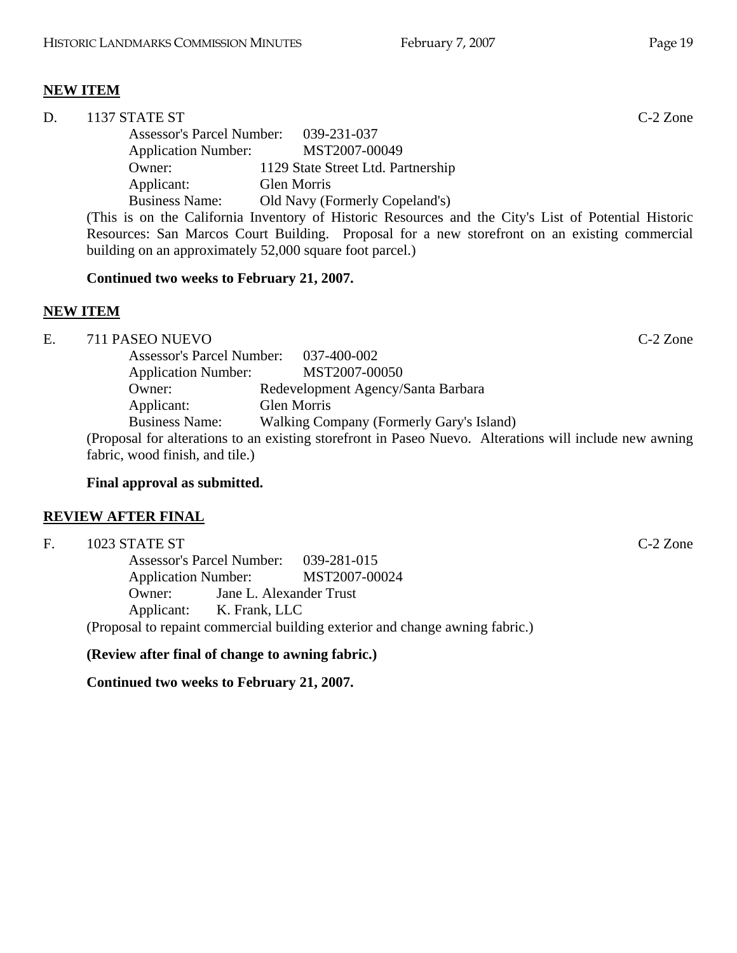# **NEW ITEM**

| D. | 1137 STATE ST              |                                                                                                      | $C-2$ Zone |
|----|----------------------------|------------------------------------------------------------------------------------------------------|------------|
|    |                            | Assessor's Parcel Number: 039-231-037                                                                |            |
|    | <b>Application Number:</b> | MST2007-00049                                                                                        |            |
|    | Owner:                     | 1129 State Street Ltd. Partnership                                                                   |            |
|    | Applicant:                 | <b>Glen Morris</b>                                                                                   |            |
|    | <b>Business Name:</b>      | Old Navy (Formerly Copeland's)                                                                       |            |
|    |                            | (This is on the California Inventory of Historic Resources and the City's List of Potential Historic |            |
|    |                            | Resources: San Marcos Court Building. Proposal for a new storefront on an existing commercial        |            |
|    |                            | building on an approximately 52,000 square foot parcel.)                                             |            |

### **Continued two weeks to February 21, 2007.**

### **NEW ITEM**

E. 711 PASEO NUEVO C-2 Zone Assessor's Parcel Number: 037-400-002 Application Number: MST2007-00050 Owner: Redevelopment Agency/Santa Barbara Applicant: Glen Morris Business Name: Walking Company (Formerly Gary's Island) (Proposal for alterations to an existing storefront in Paseo Nuevo. Alterations will include new awning fabric, wood finish, and tile.)

### **Final approval as submitted.**

## **REVIEW AFTER FINAL**

F. 1023 STATE ST C-2 Zone

Assessor's Parcel Number: 039-281-015 Application Number: MST2007-00024 Owner: Jane L. Alexander Trust Applicant: K. Frank, LLC

(Proposal to repaint commercial building exterior and change awning fabric.)

**(Review after final of change to awning fabric.)** 

**Continued two weeks to February 21, 2007.**